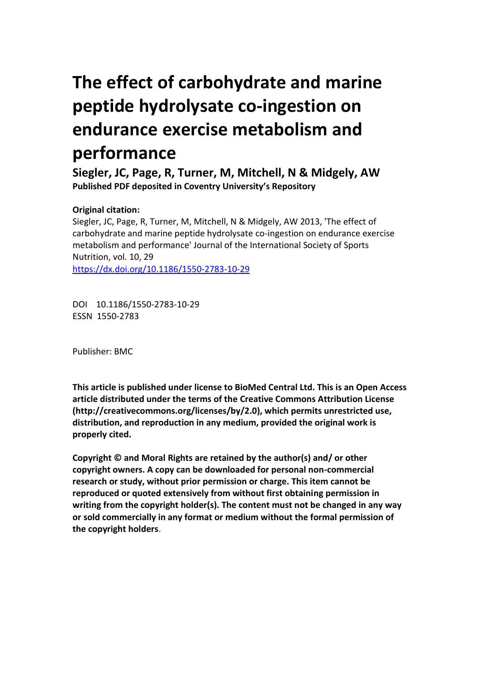# **The effect of carbohydrate and marine peptide hydrolysate co-ingestion on endurance exercise metabolism and performance**

**Siegler, JC, Page, R, Turner, M, Mitchell, N & Midgely, AW Published PDF deposited in Coventry University's Repository** 

# **Original citation:**

Siegler, JC, Page, R, Turner, M, Mitchell, N & Midgely, AW 2013, 'The effect of carbohydrate and marine peptide hydrolysate co-ingestion on endurance exercise metabolism and performance' Journal of the International Society of Sports Nutrition, vol. 10, 29 https://dx.doi.org/10.1186/1550-2783-10-29

DOI 10.1186/1550-2783-10-29 ESSN 1550-2783

Publisher: BMC

**This article is published under license to BioMed Central Ltd. This is an Open Access article distributed under the terms of the Creative Commons Attribution License (http://creativecommons.org/licenses/by/2.0), which permits unrestricted use, distribution, and reproduction in any medium, provided the original work is properly cited.**

**Copyright © and Moral Rights are retained by the author(s) and/ or other copyright owners. A copy can be downloaded for personal non-commercial research or study, without prior permission or charge. This item cannot be reproduced or quoted extensively from without first obtaining permission in writing from the copyright holder(s). The content must not be changed in any way or sold commercially in any format or medium without the formal permission of the copyright holders**.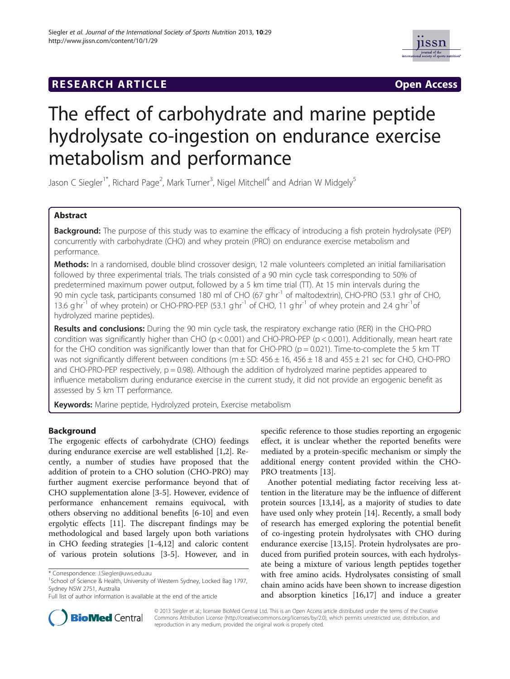# **RESEARCH ARTICLE Example 2014 CONSIDERING CONSIDERING CONSIDERING CONSIDERING CONSIDERING CONSIDERING CONSIDERING CONSIDERING CONSIDERING CONSIDERING CONSIDERING CONSIDERING CONSIDERING CONSIDERING CONSIDERING CONSIDE**



# The effect of carbohydrate and marine peptide hydrolysate co-ingestion on endurance exercise metabolism and performance

Jason C Siegler<sup>1\*</sup>, Richard Page<sup>2</sup>, Mark Turner<sup>3</sup>, Nigel Mitchell<sup>4</sup> and Adrian W Midgely<sup>5</sup>

# Abstract

Background: The purpose of this study was to examine the efficacy of introducing a fish protein hydrolysate (PEP) concurrently with carbohydrate (CHO) and whey protein (PRO) on endurance exercise metabolism and performance.

Methods: In a randomised, double blind crossover design, 12 male volunteers completed an initial familiarisation followed by three experimental trials. The trials consisted of a 90 min cycle task corresponding to 50% of predetermined maximum power output, followed by a 5 km time trial (TT). At 15 min intervals during the .<br>90 min cycle task, participants consumed 180 ml of CHO (67 ghr<sup>-1</sup> of maltodextrin), CHO-PRO (53.1 ghr of CHO, 13.6 ghr<sup>-1</sup> of whey protein) or CHO-PRO-PEP (53.1 ghr<sup>-1</sup> of CHO, 11 ghr<sup>-1</sup> of whey protein and 2.4 ghr<sup>-1</sup>of hydrolyzed marine peptides).

Results and conclusions: During the 90 min cycle task, the respiratory exchange ratio (RER) in the CHO-PRO condition was significantly higher than CHO ( $p < 0.001$ ) and CHO-PRO-PEP ( $p < 0.001$ ). Additionally, mean heart rate for the CHO condition was significantly lower than that for CHO-PRO ( $p = 0.021$ ). Time-to-complete the 5 km TT was not significantly different between conditions ( $m \pm SD$ : 456  $\pm$  16, 456  $\pm$  18 and 455  $\pm$  21 sec for CHO, CHO-PRO and CHO-PRO-PEP respectively,  $p = 0.98$ ). Although the addition of hydrolyzed marine peptides appeared to influence metabolism during endurance exercise in the current study, it did not provide an ergogenic benefit as assessed by 5 km TT performance.

Keywords: Marine peptide, Hydrolyzed protein, Exercise metabolism

# Background

The ergogenic effects of carbohydrate (CHO) feedings during endurance exercise are well established [[1,2\]](#page-7-0). Recently, a number of studies have proposed that the addition of protein to a CHO solution (CHO-PRO) may further augment exercise performance beyond that of CHO supplementation alone [\[3](#page-7-0)-[5\]](#page-7-0). However, evidence of performance enhancement remains equivocal, with others observing no additional benefits [\[6](#page-7-0)-[10\]](#page-7-0) and even ergolytic effects [[11](#page-7-0)]. The discrepant findings may be methodological and based largely upon both variations in CHO feeding strategies [\[1](#page-7-0)-[4,12\]](#page-7-0) and caloric content of various protein solutions [[3-5](#page-7-0)]. However, and in

specific reference to those studies reporting an ergogenic effect, it is unclear whether the reported benefits were mediated by a protein-specific mechanism or simply the additional energy content provided within the CHO-PRO treatments [[13\]](#page-7-0).

Another potential mediating factor receiving less attention in the literature may be the influence of different protein sources [[13,14\]](#page-7-0), as a majority of studies to date have used only whey protein [\[14](#page-7-0)]. Recently, a small body of research has emerged exploring the potential benefit of co-ingesting protein hydrolysates with CHO during endurance exercise [\[13,15\]](#page-7-0). Protein hydrolysates are produced from purified protein sources, with each hydrolysate being a mixture of various length peptides together with free amino acids. Hydrolysates consisting of small chain amino acids have been shown to increase digestion and absorption kinetics [\[16,17\]](#page-7-0) and induce a greater



© 2013 Siegler et al.; licensee BioMed Central Ltd. This is an Open Access article distributed under the terms of the Creative Commons Attribution License [\(http://creativecommons.org/licenses/by/2.0\)](http://creativecommons.org/licenses/by/2.0), which permits unrestricted use, distribution, and reproduction in any medium, provided the original work is properly cited.

<sup>\*</sup> Correspondence: [J.Siegler@uws.edu.au](mailto:J.Siegler@uws.edu.au) <sup>1</sup>

<sup>&</sup>lt;sup>1</sup>School of Science & Health, University of Western Sydney, Locked Bag 1797, Sydney NSW 2751, Australia

Full list of author information is available at the end of the article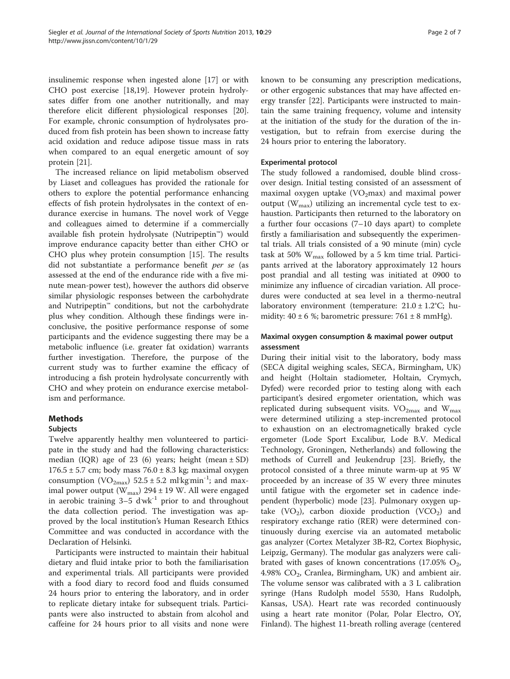insulinemic response when ingested alone [\[17\]](#page-7-0) or with CHO post exercise [\[18,19\]](#page-7-0). However protein hydrolysates differ from one another nutritionally, and may therefore elicit different physiological responses [\[20](#page-7-0)]. For example, chronic consumption of hydrolysates produced from fish protein has been shown to increase fatty acid oxidation and reduce adipose tissue mass in rats when compared to an equal energetic amount of soy protein [\[21](#page-7-0)].

The increased reliance on lipid metabolism observed by Liaset and colleagues has provided the rationale for others to explore the potential performance enhancing effects of fish protein hydrolysates in the context of endurance exercise in humans. The novel work of Vegge and colleagues aimed to determine if a commercially available fish protein hydrolysate (Nutripeptin™) would improve endurance capacity better than either CHO or CHO plus whey protein consumption [[15\]](#page-7-0). The results did not substantiate a performance benefit per se (as assessed at the end of the endurance ride with a five minute mean-power test), however the authors did observe similar physiologic responses between the carbohydrate and Nutripeptin™ conditions, but not the carbohydrate plus whey condition. Although these findings were inconclusive, the positive performance response of some participants and the evidence suggesting there may be a metabolic influence (i.e. greater fat oxidation) warrants further investigation. Therefore, the purpose of the current study was to further examine the efficacy of introducing a fish protein hydrolysate concurrently with CHO and whey protein on endurance exercise metabolism and performance.

# Methods

#### Subjects

Twelve apparently healthy men volunteered to participate in the study and had the following characteristics: median (IQR) age of 23 (6) years; height (mean  $\pm$  SD)  $176.5 \pm 5.7$  cm; body mass  $76.0 \pm 8.3$  kg; maximal oxygen consumption  $(\text{VO}_{2\text{max}})$  52.5 ± 5.2 ml kg min<sup>-1</sup>; and maximal power output ( $W_{\text{max}}$ ) 294 ± 19 W. All were engaged in aerobic training 3-5 d'wk<sup>-1</sup> prior to and throughout the data collection period. The investigation was approved by the local institution's Human Research Ethics Committee and was conducted in accordance with the Declaration of Helsinki.

Participants were instructed to maintain their habitual dietary and fluid intake prior to both the familiarisation and experimental trials. All participants were provided with a food diary to record food and fluids consumed 24 hours prior to entering the laboratory, and in order to replicate dietary intake for subsequent trials. Participants were also instructed to abstain from alcohol and caffeine for 24 hours prior to all visits and none were known to be consuming any prescription medications, or other ergogenic substances that may have affected energy transfer [[22\]](#page-7-0). Participants were instructed to maintain the same training frequency, volume and intensity at the initiation of the study for the duration of the investigation, but to refrain from exercise during the 24 hours prior to entering the laboratory.

#### Experimental protocol

The study followed a randomised, double blind crossover design. Initial testing consisted of an assessment of maximal oxygen uptake  $(VO<sub>2</sub>max)$  and maximal power output  $(W_{\text{max}})$  utilizing an incremental cycle test to exhaustion. Participants then returned to the laboratory on a further four occasions (7–10 days apart) to complete firstly a familiarisation and subsequently the experimental trials. All trials consisted of a 90 minute (min) cycle task at 50%  $W_{\text{max}}$  followed by a 5 km time trial. Participants arrived at the laboratory approximately 12 hours post prandial and all testing was initiated at 0900 to minimize any influence of circadian variation. All procedures were conducted at sea level in a thermo-neutral laboratory environment (temperature: 21.0 ± 1.2°C; humidity:  $40 \pm 6$  %; barometric pressure:  $761 \pm 8$  mmHg).

# Maximal oxygen consumption & maximal power output assessment

During their initial visit to the laboratory, body mass (SECA digital weighing scales, SECA, Birmingham, UK) and height (Holtain stadiometer, Holtain, Crymych, Dyfed) were recorded prior to testing along with each participant's desired ergometer orientation, which was replicated during subsequent visits.  $VO<sub>2max</sub>$  and  $W<sub>max</sub>$ were determined utilizing a step-incremented protocol to exhaustion on an electromagnetically braked cycle ergometer (Lode Sport Excalibur, Lode B.V. Medical Technology, Groningen, Netherlands) and following the methods of Currell and Jeukendrup [[23](#page-7-0)]. Briefly, the protocol consisted of a three minute warm-up at 95 W proceeded by an increase of 35 W every three minutes until fatigue with the ergometer set in cadence independent (hyperbolic) mode [\[23](#page-7-0)]. Pulmonary oxygen uptake  $(VO_2)$ , carbon dioxide production  $(VCO_2)$  and respiratory exchange ratio (RER) were determined continuously during exercise via an automated metabolic gas analyzer (Cortex Metalyzer 3B-R2, Cortex Biophysic, Leipzig, Germany). The modular gas analyzers were calibrated with gases of known concentrations (17.05%  $O_2$ , 4.98%  $CO_2$ , Cranlea, Birmingham, UK) and ambient air. The volume sensor was calibrated with a 3 L calibration syringe (Hans Rudolph model 5530, Hans Rudolph, Kansas, USA). Heart rate was recorded continuously using a heart rate monitor (Polar, Polar Electro, OY, Finland). The highest 11-breath rolling average (centered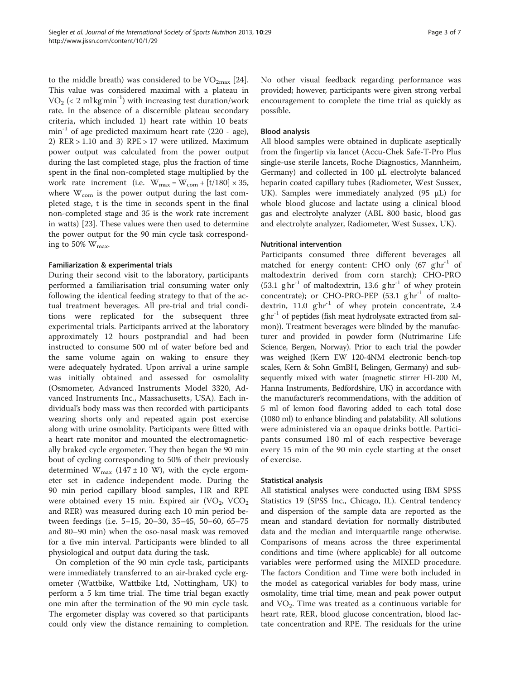to the middle breath) was considered to be  $VO_{2max}$  [\[24](#page-7-0)]. This value was considered maximal with a plateau in  $\rm VO_{2}$  (< 2 ml kg min $^{-1}$ ) with increasing test duration/work rate. In the absence of a discernible plateau secondary criteria, which included 1) heart rate within 10 beats  $min^{-1}$  of age predicted maximum heart rate (220 - age), 2) RER > 1.10 and 3) RPE > 17 were utilized. Maximum power output was calculated from the power output during the last completed stage, plus the fraction of time spent in the final non-completed stage multiplied by the work rate increment (i.e.  $W_{max} = W_{com} + [t/180] \times 35$ , where  $W_{com}$  is the power output during the last completed stage, t is the time in seconds spent in the final non-completed stage and 35 is the work rate increment in watts) [[23](#page-7-0)]. These values were then used to determine the power output for the 90 min cycle task corresponding to 50%  $W_{\text{max}}$ .

#### Familiarization & experimental trials

During their second visit to the laboratory, participants performed a familiarisation trial consuming water only following the identical feeding strategy to that of the actual treatment beverages. All pre-trial and trial conditions were replicated for the subsequent three experimental trials. Participants arrived at the laboratory approximately 12 hours postprandial and had been instructed to consume 500 ml of water before bed and the same volume again on waking to ensure they were adequately hydrated. Upon arrival a urine sample was initially obtained and assessed for osmolality (Osmometer, Advanced Instruments Model 3320, Advanced Instruments Inc., Massachusetts, USA). Each individual's body mass was then recorded with participants wearing shorts only and repeated again post exercise along with urine osmolality. Participants were fitted with a heart rate monitor and mounted the electromagnetically braked cycle ergometer. They then began the 90 min bout of cycling corresponding to 50% of their previously determined W<sub>max</sub> (147 ± 10 W), with the cycle ergometer set in cadence independent mode. During the 90 min period capillary blood samples, HR and RPE were obtained every 15 min. Expired air  $(VO<sub>2</sub>, VCO<sub>2</sub>)$ and RER) was measured during each 10 min period between feedings (i.e. 5–15, 20–30, 35–45, 50–60, 65–75 and 80–90 min) when the oso-nasal mask was removed for a five min interval. Participants were blinded to all physiological and output data during the task.

On completion of the 90 min cycle task, participants were immediately transferred to an air-braked cycle ergometer (Wattbike, Wattbike Ltd, Nottingham, UK) to perform a 5 km time trial. The time trial began exactly one min after the termination of the 90 min cycle task. The ergometer display was covered so that participants could only view the distance remaining to completion. No other visual feedback regarding performance was provided; however, participants were given strong verbal encouragement to complete the time trial as quickly as possible.

## Blood analysis

All blood samples were obtained in duplicate aseptically from the fingertip via lancet (Accu-Chek Safe-T-Pro Plus single-use sterile lancets, Roche Diagnostics, Mannheim, Germany) and collected in 100 μL electrolyte balanced heparin coated capillary tubes (Radiometer, West Sussex, UK). Samples were immediately analyzed (95 μL) for whole blood glucose and lactate using a clinical blood gas and electrolyte analyzer (ABL 800 basic, blood gas and electrolyte analyzer, Radiometer, West Sussex, UK).

## Nutritional intervention

Participants consumed three different beverages all matched for energy content: CHO only (67 ghr<sup>-1</sup> of maltodextrin derived from corn starch); CHO-PRO  $(53.1)$  ghr<sup>-1</sup> of maltodextrin, 13.6 ghr<sup>-1</sup> of whey protein concentrate); or CHO-PRO-PEP (53.1 ghr<sup>-1</sup> of maltodextrin, 11.0 ghr<sup>-1</sup> of whey protein concentrate, 2.4 g<sup>thr-1</sup> of peptides (fish meat hydrolysate extracted from salmon)). Treatment beverages were blinded by the manufacturer and provided in powder form (Nutrimarine Life Science, Bergen, Norway). Prior to each trial the powder was weighed (Kern EW 120-4NM electronic bench-top scales, Kern & Sohn GmBH, Belingen, Germany) and subsequently mixed with water (magnetic stirrer HI-200 M, Hanna Instruments, Bedfordshire, UK) in accordance with the manufacturer's recommendations, with the addition of 5 ml of lemon food flavoring added to each total dose (1080 ml) to enhance blinding and palatability. All solutions were administered via an opaque drinks bottle. Participants consumed 180 ml of each respective beverage every 15 min of the 90 min cycle starting at the onset of exercise.

# Statistical analysis

All statistical analyses were conducted using IBM SPSS Statistics 19 (SPSS Inc., Chicago, IL). Central tendency and dispersion of the sample data are reported as the mean and standard deviation for normally distributed data and the median and interquartile range otherwise. Comparisons of means across the three experimental conditions and time (where applicable) for all outcome variables were performed using the MIXED procedure. The factors Condition and Time were both included in the model as categorical variables for body mass, urine osmolality, time trial time, mean and peak power output and  $VO<sub>2</sub>$ . Time was treated as a continuous variable for heart rate, RER, blood glucose concentration, blood lactate concentration and RPE. The residuals for the urine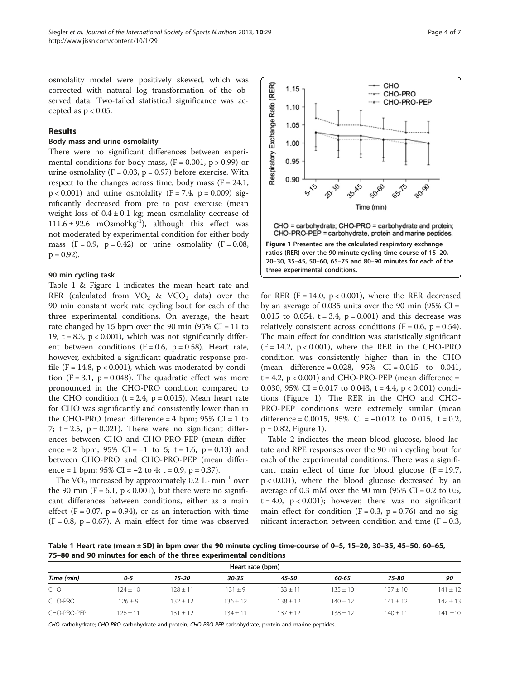<span id="page-4-0"></span>osmolality model were positively skewed, which was corrected with natural log transformation of the observed data. Two-tailed statistical significance was accepted as  $p < 0.05$ .

## Results

#### Body mass and urine osmolality

There were no significant differences between experimental conditions for body mass,  $(F = 0.001, p > 0.99)$  or urine osmolality ( $F = 0.03$ ,  $p = 0.97$ ) before exercise. With respect to the changes across time, body mass  $(F = 24.1,$  $p < 0.001$ ) and urine osmolality (F = 7.4, p = 0.009) significantly decreased from pre to post exercise (mean weight loss of  $0.4 \pm 0.1$  kg; mean osmolality decrease of  $111.6 \pm 92.6$  mOsmol $kg^{-1}$ ), although this effect was not moderated by experimental condition for either body mass  $(F = 0.9, p = 0.42)$  or urine osmolality  $(F = 0.08,$  $p = 0.92$ ).

#### 90 min cycling task

Table 1 & Figure 1 indicates the mean heart rate and RER (calculated from  $VO<sub>2</sub>$  & VCO<sub>2</sub> data) over the 90 min constant work rate cycling bout for each of the three experimental conditions. On average, the heart rate changed by 15 bpm over the 90 min (95%  $CI = 11$  to 19,  $t = 8.3$ ,  $p < 0.001$ ), which was not significantly different between conditions ( $F = 0.6$ ,  $p = 0.58$ ). Heart rate, however, exhibited a significant quadratic response profile  $(F = 14.8, p < 0.001)$ , which was moderated by condition  $(F = 3.1, p = 0.048)$ . The quadratic effect was more pronounced in the CHO-PRO condition compared to the CHO condition ( $t = 2.4$ ,  $p = 0.015$ ). Mean heart rate for CHO was significantly and consistently lower than in the CHO-PRO (mean difference  $= 4$  bpm; 95% CI  $= 1$  to 7;  $t = 2.5$ ,  $p = 0.021$ ). There were no significant differences between CHO and CHO-PRO-PEP (mean difference = 2 bpm;  $95\%$  CI = -1 to 5; t = 1.6, p = 0.13) and between CHO-PRO and CHO-PRO-PEP (mean difference = 1 bpm;  $95\%$  CI =  $-2$  to 4; t = 0.9, p = 0.37).

The  $VO<sub>2</sub>$  increased by approximately 0.2 L · min<sup>-1</sup> over the 90 min ( $F = 6.1$ ,  $p < 0.001$ ), but there were no significant differences between conditions, either as a main effect  $(F = 0.07, p = 0.94)$ , or as an interaction with time  $(F = 0.8, p = 0.67)$ . A main effect for time was observed



for RER (F = 14.0,  $p < 0.001$ ), where the RER decreased by an average of  $0.035$  units over the 90 min (95% CI = 0.015 to 0.054,  $t = 3.4$ ,  $p = 0.001$ ) and this decrease was relatively consistent across conditions ( $F = 0.6$ ,  $p = 0.54$ ). The main effect for condition was statistically significant  $(F = 14.2, p < 0.001)$ , where the RER in the CHO-PRO condition was consistently higher than in the CHO (mean difference =  $0.028$ ,  $95\%$  CI =  $0.015$  to 0.041,  $t = 4.2$ ,  $p < 0.001$ ) and CHO-PRO-PEP (mean difference = 0.030, 95% CI = 0.017 to 0.043, t = 4.4,  $p < 0.001$ ) conditions (Figure 1). The RER in the CHO and CHO-PRO-PEP conditions were extremely similar (mean difference = 0.0015, 95% CI =  $-0.012$  to 0.015, t = 0.2,  $p = 0.82$ , Figure 1).

Table [2](#page-5-0) indicates the mean blood glucose, blood lactate and RPE responses over the 90 min cycling bout for each of the experimental conditions. There was a significant main effect of time for blood glucose  $(F = 19.7,$ p < 0.001), where the blood glucose decreased by an average of 0.3 mM over the 90 min (95% CI = 0.2 to 0.5,  $t = 4.0$ ,  $p < 0.001$ ); however, there was no significant main effect for condition ( $F = 0.3$ ,  $p = 0.76$ ) and no significant interaction between condition and time ( $F = 0.3$ ,

Table 1 Heart rate (mean ± SD) in bpm over the 90 minute cycling time-course of 0–5, 15–20, 30–35, 45–50, 60–65, 75–80 and 90 minutes for each of the three experimental conditions

| Heart rate (bpm) |           |            |              |            |            |            |              |  |  |  |  |
|------------------|-----------|------------|--------------|------------|------------|------------|--------------|--|--|--|--|
| Time (min)       | $0 - 5$   | 15-20      | 30-35        | 45-50      | 60-65      | 75-80      | 90           |  |  |  |  |
| <b>CHO</b>       | 124 + 10  | $128 + 11$ | $131 + 9$    | $133 + 11$ | $135 + 10$ | $137 + 10$ | $141 + 12$   |  |  |  |  |
| CHO-PRO          | $126 + 9$ | $132 + 12$ | $136 \pm 12$ | $138 + 12$ | $140 + 12$ | $141 + 12$ | $142 \pm 13$ |  |  |  |  |
| CHO-PRO-PEP      | 126+11    | 131 + 12   | $134 + 11$   | $137 + 12$ | $138 + 12$ | $140 + 11$ | $141 + 10$   |  |  |  |  |

CHO carbohydrate; CHO-PRO carbohydrate and protein; CHO-PRO-PEP carbohydrate, protein and marine peptides.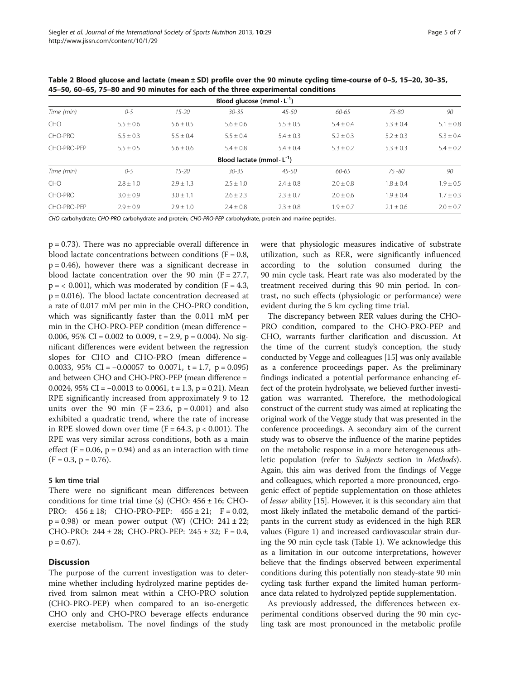| Blood glucose (mmol $\cdot$ L <sup>-1</sup> ) |               |               |                                               |               |               |               |               |  |  |  |  |
|-----------------------------------------------|---------------|---------------|-----------------------------------------------|---------------|---------------|---------------|---------------|--|--|--|--|
| Time (min)                                    | $O - 5$       | $15 - 20$     | $30 - 35$                                     | $45 - 50$     | 60-65         | 75-80         | 90            |  |  |  |  |
| <b>CHO</b>                                    | $5.5 \pm 0.6$ | $5.6 \pm 0.5$ | $5.6 \pm 0.6$                                 | $5.5 \pm 0.5$ | $5.4 \pm 0.4$ | $5.3 \pm 0.4$ | $5.1 \pm 0.8$ |  |  |  |  |
| <b>CHO-PRO</b>                                | $5.5 \pm 0.3$ | $5.5 \pm 0.4$ | $5.5 \pm 0.4$                                 | $5.4 \pm 0.3$ | $5.2 \pm 0.3$ | $5.2 + 0.3$   | $5.3 \pm 0.4$ |  |  |  |  |
| CHO-PRO-PFP                                   | $5.5 + 0.5$   | $5.6 + 0.6$   | $5.4 \pm 0.8$                                 | $5.4 \pm 0.4$ | $5.3 \pm 0.2$ | $5.3 \pm 0.3$ | $5.4 \pm 0.2$ |  |  |  |  |
|                                               |               |               | Blood lactate (mmol $\cdot$ L <sup>-1</sup> ) |               |               |               |               |  |  |  |  |
| Time (min)                                    | $O - 5$       | $15 - 20$     | $30 - 35$                                     | $45 - 50$     | 60-65         | $75 - 80$     | 90            |  |  |  |  |
| <b>CHO</b>                                    | $2.8 \pm 1.0$ | $2.9 \pm 1.3$ | $2.5 + 1.0$                                   | $2.4 \pm 0.8$ | $2.0 \pm 0.8$ | $1.8 + 0.4$   | $1.9 \pm 0.5$ |  |  |  |  |
| CHO-PRO                                       | $3.0 + 0.9$   | $3.0 \pm 1.1$ | $2.6 \pm 2.3$                                 | $2.3 \pm 0.7$ | $2.0 + 0.6$   | $1.9 + 0.4$   | $1.7 \pm 0.3$ |  |  |  |  |
| CHO-PRO-PFP                                   | $7.9 + 0.9$   | $7.9 + 1.0$   | $7.4 + 0.8$                                   | $2.3 \pm 0.8$ | $1.9 + 0.7$   | $2.1 + 0.6$   | $2.0 \pm 0.7$ |  |  |  |  |

<span id="page-5-0"></span>Table 2 Blood glucose and lactate (mean ± SD) profile over the 90 minute cycling time-course of 0–5, 15–20, 30–35, 45–50, 60–65, 75–80 and 90 minutes for each of the three experimental conditions

CHO carbohydrate; CHO-PRO carbohydrate and protein; CHO-PRO-PEP carbohydrate, protein and marine peptides.

p = 0.73). There was no appreciable overall difference in blood lactate concentrations between conditions  $(F = 0.8,$  $p = 0.46$ ), however there was a significant decrease in blood lactate concentration over the 90 min  $(F = 27.7,$  $p = 0.001$ , which was moderated by condition (F = 4.3,  $p = 0.016$ ). The blood lactate concentration decreased at a rate of 0.017 mM per min in the CHO-PRO condition, which was significantly faster than the 0.011 mM per min in the CHO-PRO-PEP condition (mean difference = 0.006, 95% CI = 0.002 to 0.009,  $t = 2.9$ ,  $p = 0.004$ ). No significant differences were evident between the regression slopes for CHO and CHO-PRO (mean difference = 0.0033, 95% CI =  $-0.00057$  to 0.0071, t = 1.7, p = 0.095) and between CHO and CHO-PRO-PEP (mean difference = 0.0024, 95% CI =  $-0.0013$  to 0.0061, t = 1.3, p = 0.21). Mean RPE significantly increased from approximately 9 to 12 units over the 90 min  $(F = 23.6, p = 0.001)$  and also exhibited a quadratic trend, where the rate of increase in RPE slowed down over time  $(F = 64.3, p < 0.001)$ . The RPE was very similar across conditions, both as a main effect ( $F = 0.06$ ,  $p = 0.94$ ) and as an interaction with time  $(F = 0.3, p = 0.76).$ 

#### 5 km time trial

There were no significant mean differences between conditions for time trial time (s) (CHO:  $456 \pm 16$ ; CHO-PRO: 456 ± 18; CHO-PRO-PEP: 455 ± 21; F = 0.02,  $p = 0.98$ ) or mean power output (W) (CHO:  $241 \pm 22$ ; CHO-PRO:  $244 \pm 28$ ; CHO-PRO-PEP:  $245 \pm 32$ ; F = 0.4,  $p = 0.67$ ).

#### **Discussion**

The purpose of the current investigation was to determine whether including hydrolyzed marine peptides derived from salmon meat within a CHO-PRO solution (CHO-PRO-PEP) when compared to an iso-energetic CHO only and CHO-PRO beverage effects endurance exercise metabolism. The novel findings of the study were that physiologic measures indicative of substrate utilization, such as RER, were significantly influenced according to the solution consumed during the 90 min cycle task. Heart rate was also moderated by the treatment received during this 90 min period. In contrast, no such effects (physiologic or performance) were evident during the 5 km cycling time trial.

The discrepancy between RER values during the CHO-PRO condition, compared to the CHO-PRO-PEP and CHO, warrants further clarification and discussion. At the time of the current study's conception, the study conducted by Vegge and colleagues [\[15\]](#page-7-0) was only available as a conference proceedings paper. As the preliminary findings indicated a potential performance enhancing effect of the protein hydrolysate, we believed further investigation was warranted. Therefore, the methodological construct of the current study was aimed at replicating the original work of the Vegge study that was presented in the conference proceedings. A secondary aim of the current study was to observe the influence of the marine peptides on the metabolic response in a more heterogeneous athletic population (refer to Subjects section in Methods). Again, this aim was derived from the findings of Vegge and colleagues, which reported a more pronounced, ergogenic effect of peptide supplementation on those athletes of lesser ability [\[15](#page-7-0)]. However, it is this secondary aim that most likely inflated the metabolic demand of the participants in the current study as evidenced in the high RER values (Figure [1](#page-4-0)) and increased cardiovascular strain during the 90 min cycle task (Table [1\)](#page-4-0). We acknowledge this as a limitation in our outcome interpretations, however believe that the findings observed between experimental conditions during this potentially non steady-state 90 min cycling task further expand the limited human performance data related to hydrolyzed peptide supplementation.

As previously addressed, the differences between experimental conditions observed during the 90 min cycling task are most pronounced in the metabolic profile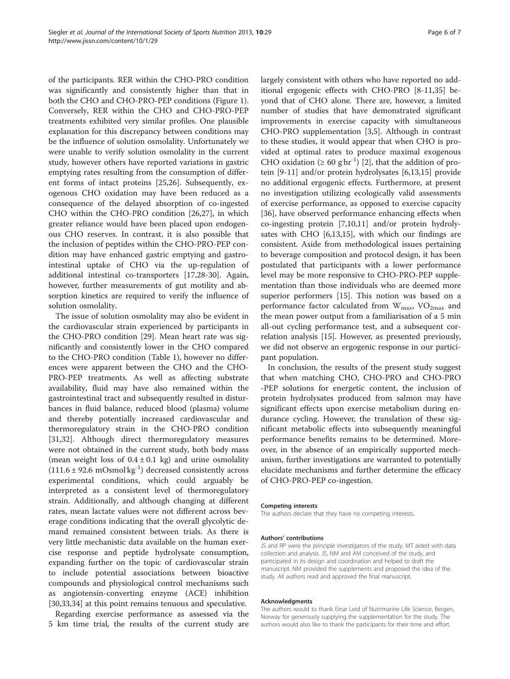of the participants. RER within the CHO-PRO condition was significantly and consistently higher than that in both the CHO and CHO-PRO-PEP conditions (Figure [1](#page-4-0)). Conversely, RER within the CHO and CHO-PRO-PEP treatments exhibited very similar profiles. One plausible explanation for this discrepancy between conditions may be the influence of solution osmolality. Unfortunately we were unable to verify solution osmolality in the current study, however others have reported variations in gastric emptying rates resulting from the consumption of different forms of intact proteins [[25,26\]](#page-7-0). Subsequently, exogenous CHO oxidation may have been reduced as a consequence of the delayed absorption of co-ingested CHO within the CHO-PRO condition [\[26,27](#page-7-0)], in which greater reliance would have been placed upon endogenous CHO reserves. In contrast, it is also possible that the inclusion of peptides within the CHO-PRO-PEP condition may have enhanced gastric emptying and gastrointestinal uptake of CHO via the up-regulation of additional intestinal co-transporters [\[17,28-30](#page-7-0)]. Again, however, further measurements of gut motility and absorption kinetics are required to verify the influence of solution osmolality.

The issue of solution osmolality may also be evident in the cardiovascular strain experienced by participants in the CHO-PRO condition [\[29](#page-7-0)]. Mean heart rate was significantly and consistently lower in the CHO compared to the CHO-PRO condition (Table [1\)](#page-4-0), however no differences were apparent between the CHO and the CHO-PRO-PEP treatments. As well as affecting substrate availability, fluid may have also remained within the gastrointestinal tract and subsequently resulted in disturbances in fluid balance, reduced blood (plasma) volume and thereby potentially increased cardiovascular and thermoregulatory strain in the CHO-PRO condition [[31,32\]](#page-7-0). Although direct thermoregulatory measures were not obtained in the current study, both body mass (mean weight loss of  $0.4 \pm 0.1$  kg) and urine osmolality  $(111.6 \pm 92.6 \text{ mOsmol·kg}^{-1})$  decreased consistently across experimental conditions, which could arguably be interpreted as a consistent level of thermoregulatory strain. Additionally, and although changing at different rates, mean lactate values were not different across beverage conditions indicating that the overall glycolytic demand remained consistent between trials. As there is very little mechanistic data available on the human exercise response and peptide hydrolysate consumption, expanding further on the topic of cardiovascular strain to include potential associations between bioactive compounds and physiological control mechanisms such as angiotensin-converting enzyme (ACE) inhibition [[30,33,34\]](#page-7-0) at this point remains tenuous and speculative.

Regarding exercise performance as assessed via the 5 km time trial, the results of the current study are largely consistent with others who have reported no additional ergogenic effects with CHO-PRO [\[8-11,35](#page-7-0)] beyond that of CHO alone. There are, however, a limited number of studies that have demonstrated significant improvements in exercise capacity with simultaneous CHO-PRO supplementation [\[3,5](#page-7-0)]. Although in contrast to these studies, it would appear that when CHO is provided at optimal rates to produce maximal exogenous CHO oxidation ( $\geq 60$  ghr<sup>-1</sup>) [[2\]](#page-7-0), that the addition of protein [[9-11](#page-7-0)] and/or protein hydrolysates [\[6](#page-7-0),[13,15](#page-7-0)] provide no additional ergogenic effects. Furthermore, at present no investigation utilizing ecologically valid assessments of exercise performance, as opposed to exercise capacity [[36\]](#page-7-0), have observed performance enhancing effects when co-ingesting protein [\[7](#page-7-0),[10,11](#page-7-0)] and/or protein hydrolysates with CHO [[6,13](#page-7-0),[15](#page-7-0)], with which our findings are consistent. Aside from methodological issues pertaining to beverage composition and protocol design, it has been postulated that participants with a lower performance level may be more responsive to CHO-PRO-PEP supplementation than those individuals who are deemed more superior performers [\[15](#page-7-0)]. This notion was based on a performance factor calculated from  $W_{\text{max}}$ , VO<sub>2max</sub> and the mean power output from a familiarisation of a 5 min all-out cycling performance test, and a subsequent correlation analysis [\[15\]](#page-7-0). However, as presented previously, we did not observe an ergogenic response in our participant population.

In conclusion, the results of the present study suggest that when matching CHO, CHO-PRO and CHO-PRO -PEP solutions for energetic content, the inclusion of protein hydrolysates produced from salmon may have significant effects upon exercise metabolism during endurance cycling. However, the translation of these significant metabolic effects into subsequently meaningful performance benefits remains to be determined. Moreover, in the absence of an empirically supported mechanism, further investigations are warranted to potentially elucidate mechanisms and further determine the efficacy of CHO-PRO-PEP co-ingestion.

#### Competing interests

The authors declare that they have no competing interests.

#### Authors' contributions

JS and RP were the principle investigators of the study. MT aided with data collection and analysis. JS, NM and AM conceived of the study, and participated in its design and coordination and helped to draft the manuscript. NM provided the supplements and proposed the idea of the study. All authors read and approved the final manuscript.

#### Acknowledgments

The authors would to thank Einar Leid of Nutrimarine Life Science, Bergen, Norway for generously supplying the supplementation for the study. The authors would also like to thank the participants for their time and effort.